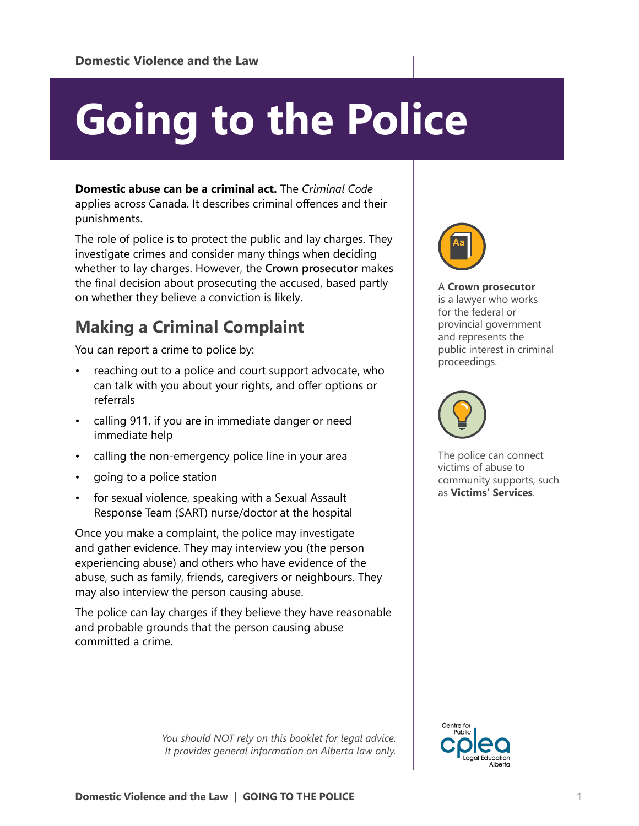# **Going to the Police**

**Domestic abuse can be a criminal act.** The *Criminal Code* applies across Canada. It describes criminal offences and their punishments.

The role of police is to protect the public and lay charges. They investigate crimes and consider many things when deciding whether to lay charges. However, the **Crown prosecutor** makes the final decision about prosecuting the accused, based partly on whether they believe a conviction is likely.

## **Making a Criminal Complaint**

You can report a crime to police by:

- reaching out to a police and court support advocate, who can talk with you about your rights, and offer options or referrals
- calling 911, if you are in immediate danger or need immediate help
- calling the non-emergency police line in your area
- going to a police station
- for sexual violence, speaking with a Sexual Assault Response Team (SART) nurse/doctor at the hospital

Once you make a complaint, the police may investigate and gather evidence. They may interview you (the person experiencing abuse) and others who have evidence of the abuse, such as family, friends, caregivers or neighbours. They may also interview the person causing abuse.

The police can lay charges if they believe they have reasonable and probable grounds that the person causing abuse committed a crime.

> *You should NOT rely on this booklet for legal advice. It provides general information on Alberta law only.*



A **Crown prosecutor** is a lawyer who works for the federal or provincial government and represents the public interest in criminal proceedings.



The police can connect victims of abuse to community supports, such as **Victims' Services**.

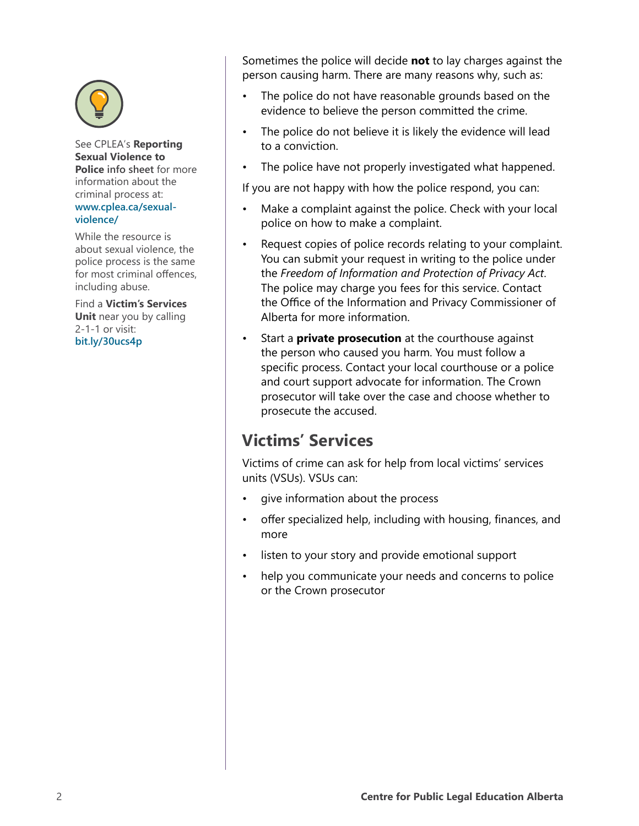

See CPLEA's **Reporting Sexual Violence to Police info sheet** for more information about the criminal process at: **[www.cplea.ca/sexual](http://www.cplea.ca/sexual-violence/)[violence/](http://www.cplea.ca/sexual-violence/)**

While the resource is about sexual violence, the police process is the same for most criminal offences, including abuse.

Find a **Victim's Services Unit** near you by calling 2-1-1 or visit: **[bit.ly/30ucs4p](https://bit.ly/30ucs4p)**

Sometimes the police will decide **not** to lay charges against the person causing harm. There are many reasons why, such as:

- The police do not have reasonable grounds based on the evidence to believe the person committed the crime.
- The police do not believe it is likely the evidence will lead to a conviction.
- The police have not properly investigated what happened.

If you are not happy with how the police respond, you can:

- Make a complaint against the police. Check with your local police on how to make a complaint.
- Request copies of police records relating to your complaint. You can submit your request in writing to the police under the *Freedom of Information and Protection of Privacy Act*. The police may charge you fees for this service. Contact the Office of the Information and Privacy Commissioner of Alberta for more information.
- Start a **private prosecution** at the courthouse against the person who caused you harm. You must follow a specific process. Contact your local courthouse or a police and court support advocate for information. The Crown prosecutor will take over the case and choose whether to prosecute the accused.

## **Victims' Services**

Victims of crime can ask for help from local victims' services units (VSUs). VSUs can:

- give information about the process
- offer specialized help, including with housing, finances, and more
- listen to your story and provide emotional support
- help you communicate your needs and concerns to police or the Crown prosecutor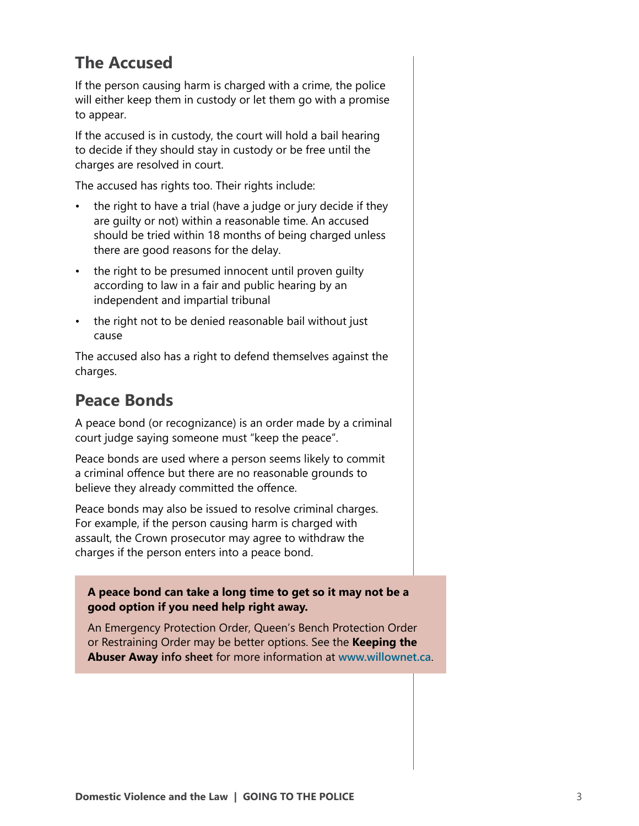## **The Accused**

If the person causing harm is charged with a crime, the police will either keep them in custody or let them go with a promise to appear.

If the accused is in custody, the court will hold a bail hearing to decide if they should stay in custody or be free until the charges are resolved in court.

The accused has rights too. Their rights include:

- the right to have a trial (have a judge or jury decide if they are guilty or not) within a reasonable time. An accused should be tried within 18 months of being charged unless there are good reasons for the delay.
- the right to be presumed innocent until proven guilty according to law in a fair and public hearing by an independent and impartial tribunal
- the right not to be denied reasonable bail without just cause

The accused also has a right to defend themselves against the charges.

## **Peace Bonds**

A peace bond (or recognizance) is an order made by a criminal court judge saying someone must "keep the peace".

Peace bonds are used where a person seems likely to commit a criminal offence but there are no reasonable grounds to believe they already committed the offence.

Peace bonds may also be issued to resolve criminal charges. For example, if the person causing harm is charged with assault, the Crown prosecutor may agree to withdraw the charges if the person enters into a peace bond.

#### **A peace bond can take a long time to get so it may not be a good option if you need help right away.**

An Emergency Protection Order, Queen's Bench Protection Order or Restraining Order may be better options. See the **Keeping the Abuser Away info sheet** for more information at **[www.willownet.ca](http://www.willownet.ca)**.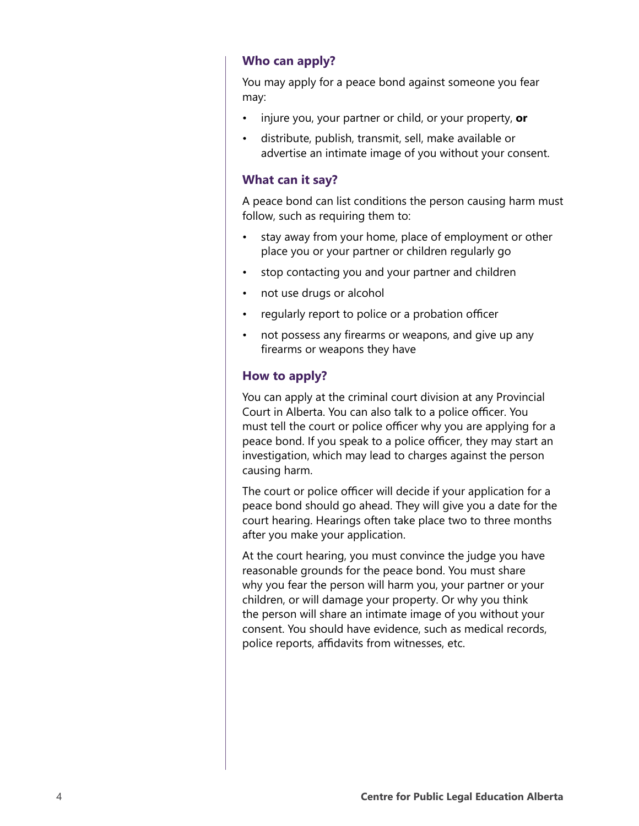#### **Who can apply?**

You may apply for a peace bond against someone you fear may:

- injure you, your partner or child, or your property, **or**
- distribute, publish, transmit, sell, make available or advertise an intimate image of you without your consent.

#### **What can it say?**

A peace bond can list conditions the person causing harm must follow, such as requiring them to:

- stay away from your home, place of employment or other place you or your partner or children regularly go
- stop contacting you and your partner and children
- not use drugs or alcohol
- regularly report to police or a probation officer
- not possess any firearms or weapons, and give up any firearms or weapons they have

#### **How to apply?**

You can apply at the criminal court division at any Provincial Court in Alberta. You can also talk to a police officer. You must tell the court or police officer why you are applying for a peace bond. If you speak to a police officer, they may start an investigation, which may lead to charges against the person causing harm.

The court or police officer will decide if your application for a peace bond should go ahead. They will give you a date for the court hearing. Hearings often take place two to three months after you make your application.

At the court hearing, you must convince the judge you have reasonable grounds for the peace bond. You must share why you fear the person will harm you, your partner or your children, or will damage your property. Or why you think the person will share an intimate image of you without your consent. You should have evidence, such as medical records, police reports, affidavits from witnesses, etc.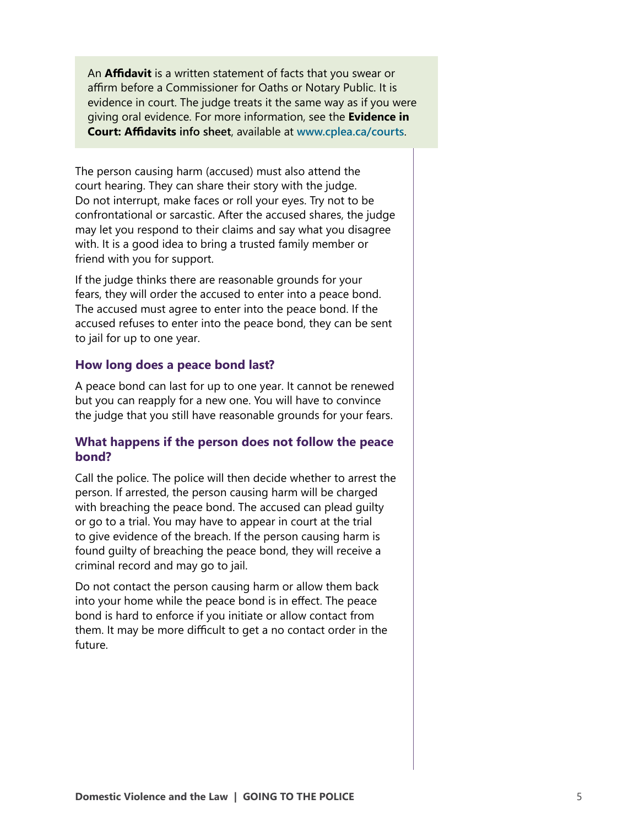An **Affidavit** is a written statement of facts that you swear or affirm before a Commissioner for Oaths or Notary Public. It is evidence in court. The judge treats it the same way as if you were giving oral evidence. For more information, see the **Evidence in Court: Affidavits info sheet**, available at **[www.cplea.ca/courts](http://www.cplea.ca/courts)**.

The person causing harm (accused) must also attend the court hearing. They can share their story with the judge. Do not interrupt, make faces or roll your eyes. Try not to be confrontational or sarcastic. After the accused shares, the judge may let you respond to their claims and say what you disagree with. It is a good idea to bring a trusted family member or friend with you for support.

If the judge thinks there are reasonable grounds for your fears, they will order the accused to enter into a peace bond. The accused must agree to enter into the peace bond. If the accused refuses to enter into the peace bond, they can be sent to jail for up to one year.

#### **How long does a peace bond last?**

A peace bond can last for up to one year. It cannot be renewed but you can reapply for a new one. You will have to convince the judge that you still have reasonable grounds for your fears.

#### **What happens if the person does not follow the peace bond?**

Call the police. The police will then decide whether to arrest the person. If arrested, the person causing harm will be charged with breaching the peace bond. The accused can plead guilty or go to a trial. You may have to appear in court at the trial to give evidence of the breach. If the person causing harm is found guilty of breaching the peace bond, they will receive a criminal record and may go to jail.

Do not contact the person causing harm or allow them back into your home while the peace bond is in effect. The peace bond is hard to enforce if you initiate or allow contact from them. It may be more difficult to get a no contact order in the future.